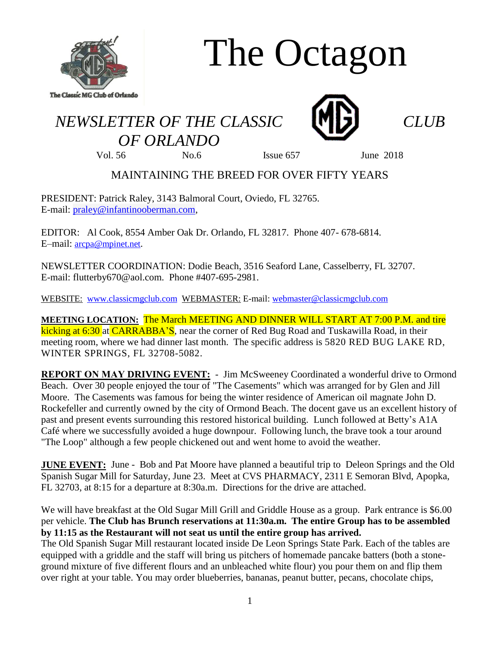

# The Octagon

## *NEWSLETTER OF THE CLASSIC CLUB OF ORLANDO*



Vol. 56 No.6 Issue 657 June 2018

### MAINTAINING THE BREED FOR OVER FIFTY YEARS

PRESIDENT: Patrick Raley, 3143 Balmoral Court, Oviedo, FL 32765. E-mail: [praley@infantinooberman.com,](mailto:praley@infantinooberman.com)

EDITOR: Al Cook, 8554 Amber Oak Dr. Orlando, FL 32817. Phone 407- 678-6814. E–mail: [arcpa@mpinet.net](mailto:arcpa@mpinet.net).

NEWSLETTER COORDINATION: Dodie Beach, 3516 Seaford Lane, Casselberry, FL 32707. E-mail: flutterby670@aol.com. Phone #407-695-2981.

WEBSITE: [www.classicmgclub.com](http://www.classicmgclub.com/) WEBMASTER: E-mail: [webmaster@classicmgclub.com](mailto:webmaster@classicmgclub.com)

**MEETING LOCATION:** The March MEETING AND DINNER WILL START AT 7:00 P.M. and tire kicking at 6:30 at CARRABBA'S, near the corner of Red Bug Road and Tuskawilla Road, in their meeting room, where we had dinner last month. The specific address is 5820 RED BUG LAKE RD, WINTER SPRINGS, FL 32708-5082.

**REPORT ON MAY DRIVING EVENT:** - Jim McSweeney Coordinated a wonderful drive to Ormond Beach. Over 30 people enjoyed the tour of "The Casements" which was arranged for by Glen and Jill Moore. The Casements was famous for being the winter residence of American oil magnate John D. Rockefeller and currently owned by the city of Ormond Beach. The docent gave us an excellent history of past and present events surrounding this restored historical building. Lunch followed at Betty's A1A Café where we successfully avoided a huge downpour. Following lunch, the brave took a tour around "The Loop" although a few people chickened out and went home to avoid the weather.

**JUNE EVENT:** June - Bob and Pat Moore have planned a beautiful trip to Deleon Springs and the Old Spanish Sugar Mill for Saturday, June 23. Meet at CVS PHARMACY, 2311 E Semoran Blvd, Apopka, FL 32703, at 8:15 for a departure at 8:30a.m. Directions for the drive are attached.

We will have breakfast at the Old Sugar Mill Grill and Griddle House as a group. Park entrance is \$6.00 per vehicle. **The Club has Brunch reservations at 11:30a.m. The entire Group has to be assembled by 11:15 as the Restaurant will not seat us until the entire group has arrived.** 

The Old Spanish Sugar Mill restaurant located inside De Leon Springs State Park. Each of the tables are equipped with a griddle and the staff will bring us pitchers of homemade pancake batters (both a stoneground mixture of five different flours and an unbleached white flour) you pour them on and flip them over right at your table. You may order blueberries, bananas, peanut butter, pecans, chocolate chips,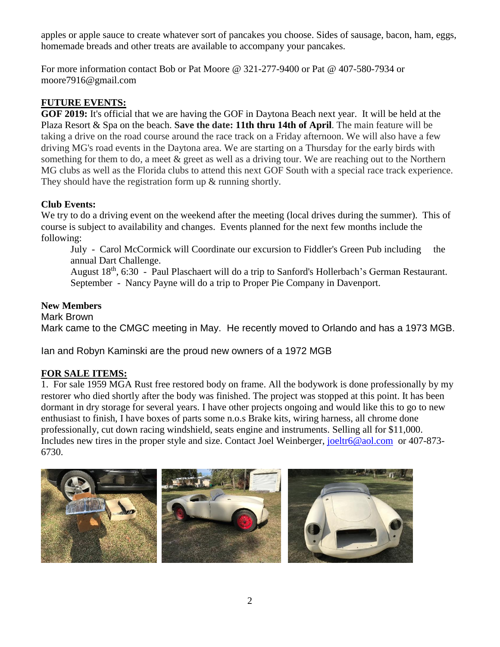apples or apple sauce to create whatever sort of pancakes you choose. Sides of sausage, bacon, ham, eggs, homemade breads and other treats are available to accompany your pancakes.

For more information contact Bob or Pat Moore @ 321-277-9400 or Pat @ 407-580-7934 or moore7916@gmail.com

#### **FUTURE EVENTS:**

**GOF 2019:** It's official that we are having the GOF in Daytona Beach next year. It will be held at the Plaza Resort & Spa on the beach. **Save the date: 11th thru 14th of April**. The main feature will be taking a drive on the road course around the race track on a Friday afternoon. We will also have a few driving MG's road events in the Daytona area. We are starting on a Thursday for the early birds with something for them to do, a meet & greet as well as a driving tour. We are reaching out to the Northern MG clubs as well as the Florida clubs to attend this next GOF South with a special race track experience. They should have the registration form up  $\&$  running shortly.

#### **Club Events:**

We try to do a driving event on the weekend after the meeting (local drives during the summer). This of course is subject to availability and changes. Events planned for the next few months include the following:

July - Carol McCormick will Coordinate our excursion to Fiddler's Green Pub including the annual Dart Challenge.

August 18<sup>th</sup>, 6:30 - Paul Plaschaert will do a trip to Sanford's Hollerbach's German Restaurant. September - Nancy Payne will do a trip to Proper Pie Company in Davenport.

#### **New Members**

Mark Brown Mark came to the CMGC meeting in May. He recently moved to Orlando and has a 1973 MGB.

Ian and Robyn Kaminski are the proud new owners of a 1972 MGB

#### **FOR SALE ITEMS:**

1. For sale 1959 MGA Rust free restored body on frame. All the bodywork is done professionally by my restorer who died shortly after the body was finished. The project was stopped at this point. It has been dormant in dry storage for several years. I have other projects ongoing and would like this to go to new enthusiast to finish, I have boxes of parts some n.o.s Brake kits, wiring harness, all chrome done professionally, cut down racing windshield, seats engine and instruments. Selling all for \$11,000. Includes new tires in the proper style and size. Contact Joel Weinberger, [joeltr6@aol.com](mailto:joeltr6@aol.com) or 407-873-6730.